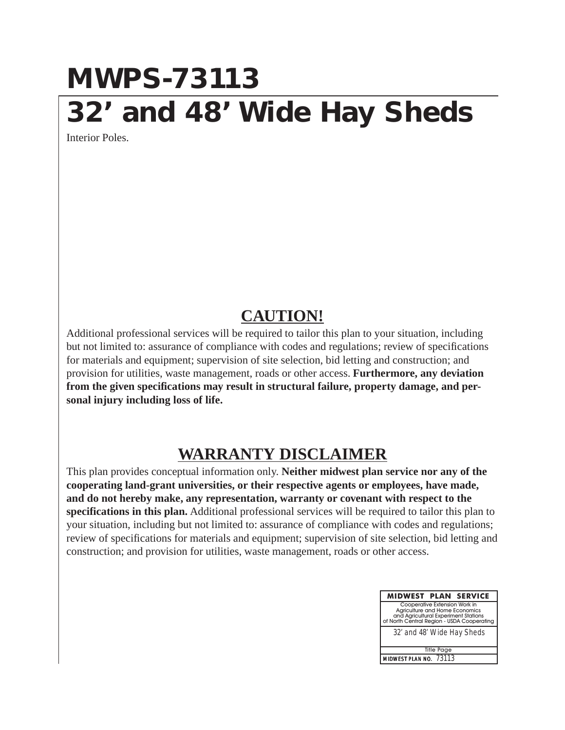## **MWPS-73113 32' and 48' Wide Hay Sheds**

Interior Poles.

## **CAUTION!**

Additional professional services will be required to tailor this plan to your situation, including but not limited to: assurance of compliance with codes and regulations; review of specifications for materials and equipment; supervision of site selection, bid letting and construction; and provision for utilities, waste management, roads or other access. **Furthermore, any deviation from the given specifications may result in structural failure, property damage, and personal injury including loss of life.**

## **WARRANTY DISCLAIMER**

This plan provides conceptual information only. **Neither midwest plan service nor any of the cooperating land-grant universities, or their respective agents or employees, have made, and do not hereby make, any representation, warranty or covenant with respect to the specifications in this plan.** Additional professional services will be required to tailor this plan to your situation, including but not limited to: assurance of compliance with codes and regulations; review of specifications for materials and equipment; supervision of site selection, bid letting and construction; and provision for utilities, waste management, roads or other access.

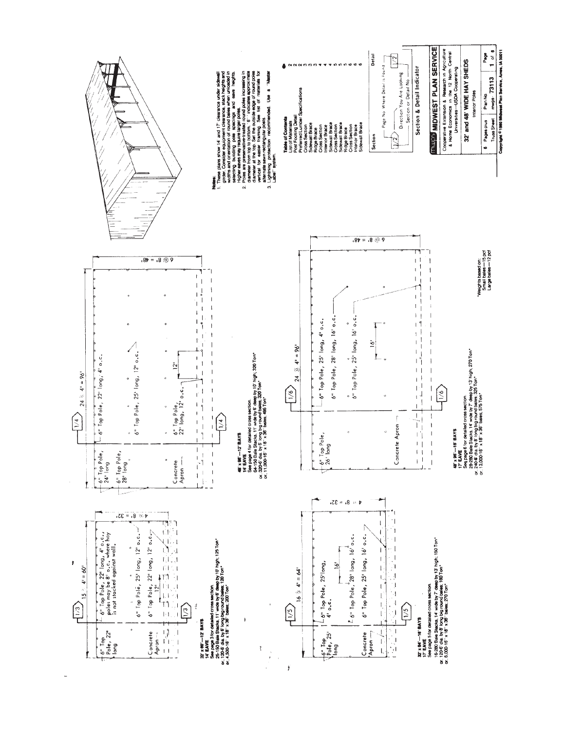

ý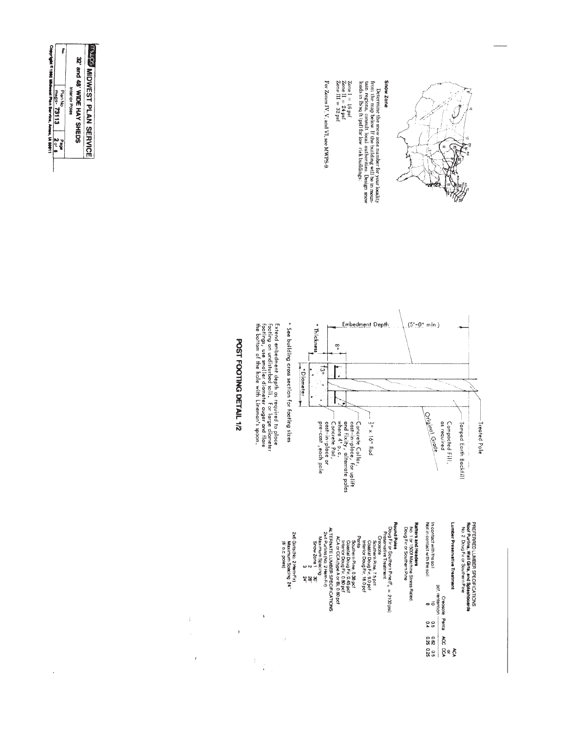

Determine the snow zone number for your locality from the locality from the model in the magnesic consult local authorities. Design snow leads in lbs of t (psf) for low risk buildings:

 $\begin{array}{l} \textit{Zone I} = 16 \text{ psf} \\ \textit{Zone II} = 24 \text{ psf} \\ \textit{Zone II} = 32 \text{ psf} \end{array}$ 

For Zones IV, V, and VI, see MWPS-9



**Pound Poles**<br>
Doug Environment Prince  $\Gamma_5 = 2100$  psice<br>
Creasion Prince 75 pct<br>
Creasion Prince 75 pct<br>
Creasion Prince 75 pct<br>
Creasion Prince 75 pct<br>
Creasion Prince Doug Fir. 160 pct<br>
Routhern Prince 0.38 pct<br>
Consi In contact with the soil<br>Not in contact with the soil **Ratters and Headers**<br>No. 1 or 1500f Machine Stress Rated.<br>Doug Fir or Southern Pine Lumber Preservative Treatment PREFERRED LUMBER SPECIFICATIONS<br>Roof Purlins, Wall Girls, and Splashboards<br>No. 2. Doug Fir or Southern Pine  $\frac{60}{20}$ <br>DC rentention<br>DC rentention<br>DC rentention<br>DC 1990 934<br>DC 935 0.25<br>DC 936 935 0.35

ALTERNATE LUMBER SPECIFICATIONS<br>264 Burtillini Spacing<br>264 Burtillini Spacing<br>Show Zone 1<br>Sarv<br>5 24"

2x6 Girts (No. 2 Hem-Fir)<br>Maximum Spacing: 24''<br>(8' o.c. poles)

 $\tilde{\tilde{f}}$ 

 $\bar{\mathbf{v}}$ 

 $\hat{\mathcal{X}}$  $\frac{1}{3}$ 

 $\frac{1}{4}$  $\overline{\phantom{a}}$ 

 $\bar{J}$ 

POST FOOTING DETAIL 1/2



 $\ddot{\phantom{a}}$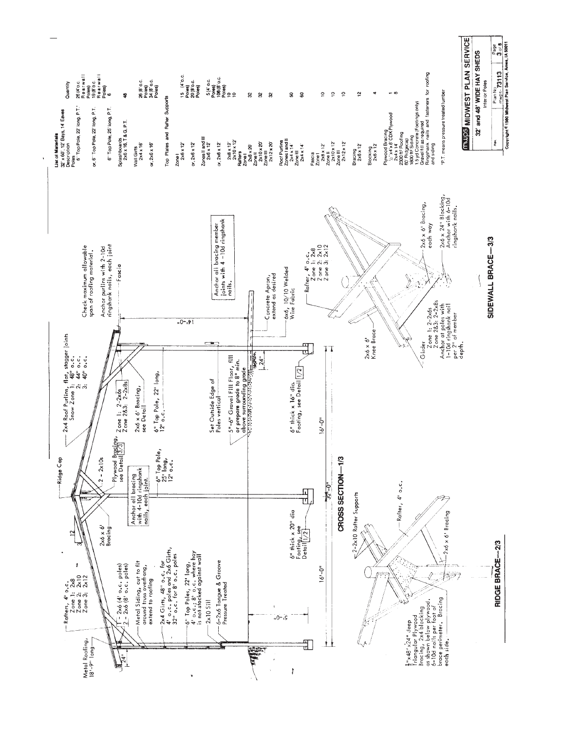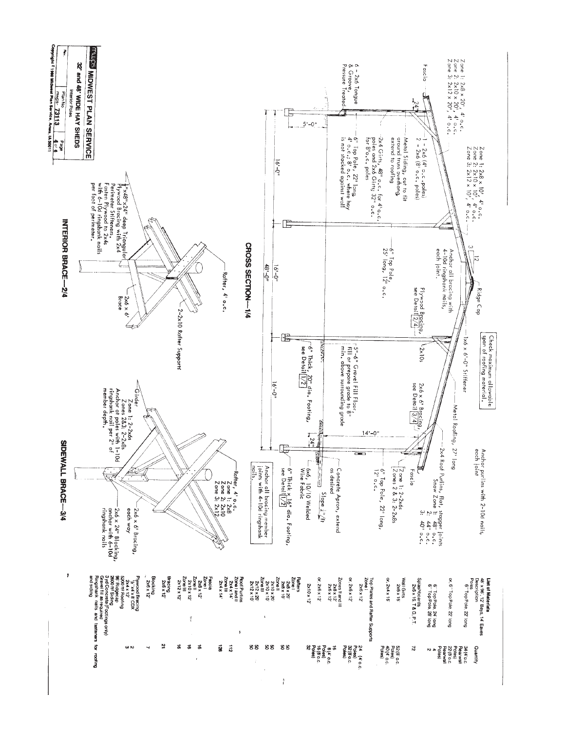

 $\frac{5}{6}$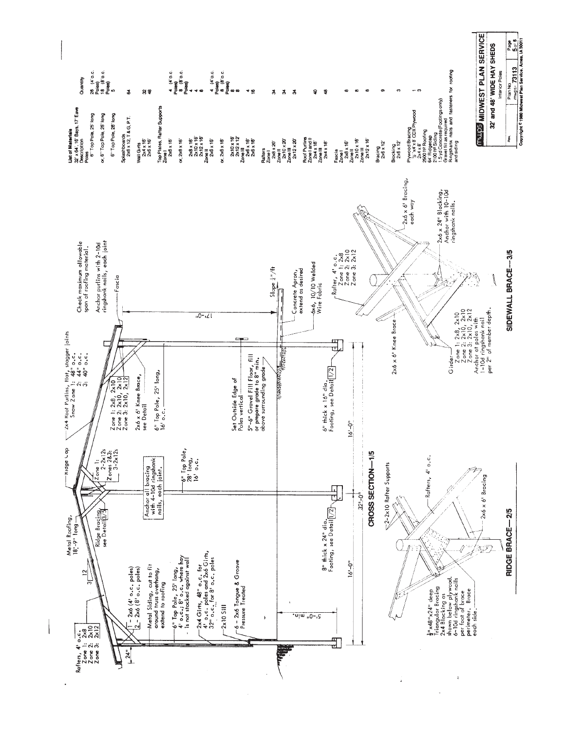